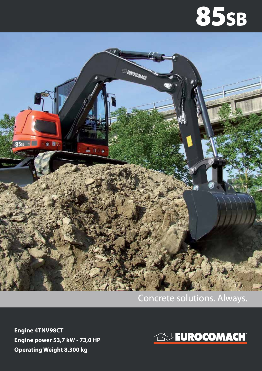## **85SB**



## Concrete solutions. Always.

**Engine 4TNV98CT Engine power 53,7 kW - 73,0 HP Operating Weight 8.300 kg**